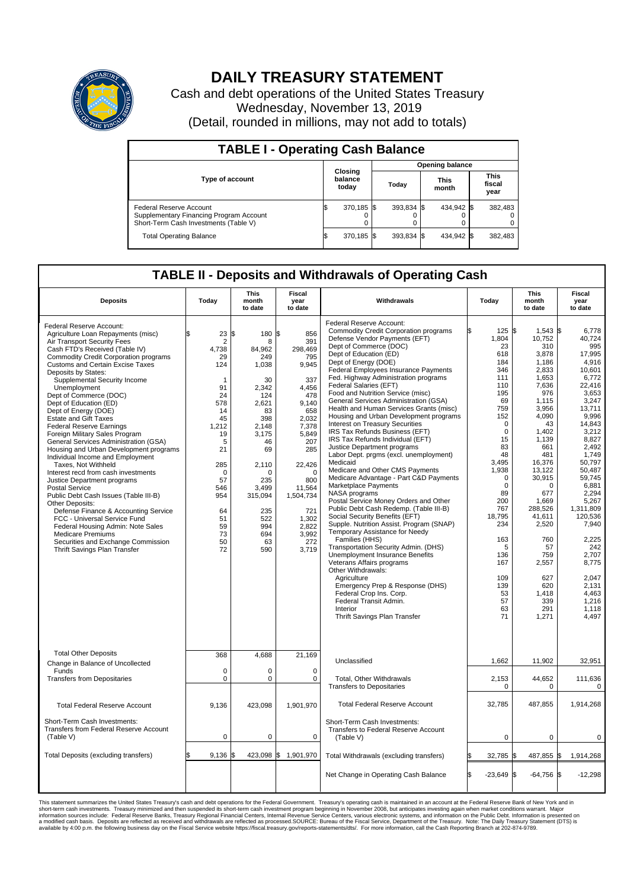

## **DAILY TREASURY STATEMENT**

Cash and debt operations of the United States Treasury Wednesday, November 13, 2019 (Detail, rounded in millions, may not add to totals)

| <b>TABLE I - Operating Cash Balance</b>                                                                     |    |                             |  |                        |  |                      |  |                               |  |  |  |
|-------------------------------------------------------------------------------------------------------------|----|-----------------------------|--|------------------------|--|----------------------|--|-------------------------------|--|--|--|
|                                                                                                             |    | Closing<br>balance<br>today |  | <b>Opening balance</b> |  |                      |  |                               |  |  |  |
| <b>Type of account</b>                                                                                      |    |                             |  | Today                  |  | <b>This</b><br>month |  | <b>This</b><br>fiscal<br>year |  |  |  |
| Federal Reserve Account<br>Supplementary Financing Program Account<br>Short-Term Cash Investments (Table V) |    | 370.185 \$                  |  | 393,834 \$             |  | 434.942 \$           |  | 382,483                       |  |  |  |
| <b>Total Operating Balance</b>                                                                              | ıъ | 370,185 \$                  |  | $393.834$ \$           |  | 434,942 \$           |  | 382,483                       |  |  |  |

## **TABLE II - Deposits and Withdrawals of Operating Cash**

| <b>Deposits</b>                                                                                                                                                                                                                                                                                                                                                                                                                                                                                                                                                                                                                                                                                                                                                                                                                                                                                                                                                                                            | Today                                                                                                                                                                                     | <b>This</b><br>month<br>to date                                                                                                                                                                          | Fiscal<br>year<br>to date                                                                                                                                                                                                   | Withdrawals                                                                                                                                                                                                                                                                                                                                                                                                                                                                                                                                                                                                                                                                                                                                                                                                                                                                                                                                                                                                                                                                                                                                                                                                                                                                                                | Today                                                                                                                                                                                                                                                                                  | <b>This</b><br>month<br>to date                                                                                                                                                                                                                                                                              | <b>Fiscal</b><br>year<br>to date                                                                                                                                                                                                                                                                                                            |  |  |  |
|------------------------------------------------------------------------------------------------------------------------------------------------------------------------------------------------------------------------------------------------------------------------------------------------------------------------------------------------------------------------------------------------------------------------------------------------------------------------------------------------------------------------------------------------------------------------------------------------------------------------------------------------------------------------------------------------------------------------------------------------------------------------------------------------------------------------------------------------------------------------------------------------------------------------------------------------------------------------------------------------------------|-------------------------------------------------------------------------------------------------------------------------------------------------------------------------------------------|----------------------------------------------------------------------------------------------------------------------------------------------------------------------------------------------------------|-----------------------------------------------------------------------------------------------------------------------------------------------------------------------------------------------------------------------------|------------------------------------------------------------------------------------------------------------------------------------------------------------------------------------------------------------------------------------------------------------------------------------------------------------------------------------------------------------------------------------------------------------------------------------------------------------------------------------------------------------------------------------------------------------------------------------------------------------------------------------------------------------------------------------------------------------------------------------------------------------------------------------------------------------------------------------------------------------------------------------------------------------------------------------------------------------------------------------------------------------------------------------------------------------------------------------------------------------------------------------------------------------------------------------------------------------------------------------------------------------------------------------------------------------|----------------------------------------------------------------------------------------------------------------------------------------------------------------------------------------------------------------------------------------------------------------------------------------|--------------------------------------------------------------------------------------------------------------------------------------------------------------------------------------------------------------------------------------------------------------------------------------------------------------|---------------------------------------------------------------------------------------------------------------------------------------------------------------------------------------------------------------------------------------------------------------------------------------------------------------------------------------------|--|--|--|
| Federal Reserve Account:<br>Agriculture Loan Repayments (misc)<br>Air Transport Security Fees<br>Cash FTD's Received (Table IV)<br><b>Commodity Credit Corporation programs</b><br><b>Customs and Certain Excise Taxes</b><br>Deposits by States:<br>Supplemental Security Income<br>Unemployment<br>Dept of Commerce (DOC)<br>Dept of Education (ED)<br>Dept of Energy (DOE)<br><b>Estate and Gift Taxes</b><br><b>Federal Reserve Earnings</b><br>Foreign Military Sales Program<br>General Services Administration (GSA)<br>Housing and Urban Development programs<br>Individual Income and Employment<br>Taxes, Not Withheld<br>Interest recd from cash investments<br>Justice Department programs<br><b>Postal Service</b><br>Public Debt Cash Issues (Table III-B)<br>Other Deposits:<br>Defense Finance & Accounting Service<br>FCC - Universal Service Fund<br>Federal Housing Admin: Note Sales<br><b>Medicare Premiums</b><br>Securities and Exchange Commission<br>Thrift Savings Plan Transfer | ፍ<br>23<br>2<br>4,738<br>29<br>124<br>$\mathbf{1}$<br>91<br>24<br>578<br>14<br>45<br>1,212<br>19<br>5<br>21<br>285<br>$\mathbf 0$<br>57<br>546<br>954<br>64<br>51<br>59<br>73<br>50<br>72 | 180 \$<br>l\$<br>8<br>84,962<br>249<br>1,038<br>30<br>2.342<br>124<br>2,621<br>83<br>398<br>2,148<br>3,175<br>46<br>69<br>2,110<br>0<br>235<br>3,499<br>315,094<br>235<br>522<br>994<br>694<br>63<br>590 | 856<br>391<br>298,469<br>795<br>9,945<br>337<br>4,456<br>478<br>9,140<br>658<br>2,032<br>7,378<br>5,849<br>207<br>285<br>22,426<br>$\Omega$<br>800<br>11,564<br>1,504,734<br>721<br>1,302<br>2.822<br>3,992<br>272<br>3,719 | Federal Reserve Account:<br><b>Commodity Credit Corporation programs</b><br>Defense Vendor Payments (EFT)<br>Dept of Commerce (DOC)<br>Dept of Education (ED)<br>Dept of Energy (DOE)<br>Federal Employees Insurance Payments<br>Fed. Highway Administration programs<br>Federal Salaries (EFT)<br>Food and Nutrition Service (misc)<br>General Services Administration (GSA)<br>Health and Human Services Grants (misc)<br>Housing and Urban Development programs<br><b>Interest on Treasury Securities</b><br>IRS Tax Refunds Business (EFT)<br>IRS Tax Refunds Individual (EFT)<br>Justice Department programs<br>Labor Dept. prgms (excl. unemployment)<br>Medicaid<br>Medicare and Other CMS Payments<br>Medicare Advantage - Part C&D Payments<br>Marketplace Payments<br>NASA programs<br>Postal Service Money Orders and Other<br>Public Debt Cash Redemp. (Table III-B)<br>Social Security Benefits (EFT)<br>Supple. Nutrition Assist. Program (SNAP)<br>Temporary Assistance for Needy<br>Families (HHS)<br>Transportation Security Admin. (DHS)<br><b>Unemployment Insurance Benefits</b><br>Veterans Affairs programs<br>Other Withdrawals:<br>Agriculture<br>Emergency Prep & Response (DHS)<br>Federal Crop Ins. Corp.<br>Federal Transit Admin.<br>Interior<br>Thrift Savings Plan Transfer | 125S<br>1,804<br>23<br>618<br>184<br>346<br>111<br>110<br>195<br>69<br>759<br>152<br>$\mathbf 0$<br>$\mathbf 0$<br>15<br>83<br>48<br>3,495<br>1,938<br>$\mathbf 0$<br>$\mathbf 0$<br>89<br>200<br>767<br>18,795<br>234<br>163<br>5<br>136<br>167<br>109<br>139<br>53<br>57<br>63<br>71 | $1,543$ \$<br>10,752<br>310<br>3,878<br>1.186<br>2,833<br>1.653<br>7,636<br>976<br>1,115<br>3,956<br>4,090<br>43<br>1,402<br>1,139<br>661<br>481<br>16,376<br>13.122<br>30,915<br>0<br>677<br>1,669<br>288.526<br>41,611<br>2,520<br>760<br>57<br>759<br>2,557<br>627<br>620<br>1,418<br>339<br>291<br>1,271 | 6,778<br>40,724<br>995<br>17,995<br>4.916<br>10,601<br>6,772<br>22,416<br>3,653<br>3,247<br>13,711<br>9,996<br>14,843<br>3,212<br>8,827<br>2.492<br>1,749<br>50,797<br>50.487<br>59.745<br>6,881<br>2,294<br>5,267<br>1,311,809<br>120,536<br>7,940<br>2,225<br>242<br>2,707<br>8,775<br>2,047<br>2,131<br>4,463<br>1,216<br>1,118<br>4,497 |  |  |  |
| <b>Total Other Deposits</b><br>Change in Balance of Uncollected                                                                                                                                                                                                                                                                                                                                                                                                                                                                                                                                                                                                                                                                                                                                                                                                                                                                                                                                            | 368                                                                                                                                                                                       | 4,688                                                                                                                                                                                                    | 21,169                                                                                                                                                                                                                      | Unclassified                                                                                                                                                                                                                                                                                                                                                                                                                                                                                                                                                                                                                                                                                                                                                                                                                                                                                                                                                                                                                                                                                                                                                                                                                                                                                               | 1,662                                                                                                                                                                                                                                                                                  | 11,902                                                                                                                                                                                                                                                                                                       | 32,951                                                                                                                                                                                                                                                                                                                                      |  |  |  |
| Funds<br><b>Transfers from Depositaries</b>                                                                                                                                                                                                                                                                                                                                                                                                                                                                                                                                                                                                                                                                                                                                                                                                                                                                                                                                                                | $\mathbf 0$<br>$\mathbf 0$                                                                                                                                                                | 0<br>$\Omega$                                                                                                                                                                                            | $\mathbf 0$<br>$\mathbf 0$                                                                                                                                                                                                  | Total, Other Withdrawals<br><b>Transfers to Depositaries</b>                                                                                                                                                                                                                                                                                                                                                                                                                                                                                                                                                                                                                                                                                                                                                                                                                                                                                                                                                                                                                                                                                                                                                                                                                                               | 2,153<br>0                                                                                                                                                                                                                                                                             | 44,652<br>0                                                                                                                                                                                                                                                                                                  | 111,636<br>0                                                                                                                                                                                                                                                                                                                                |  |  |  |
| <b>Total Federal Reserve Account</b>                                                                                                                                                                                                                                                                                                                                                                                                                                                                                                                                                                                                                                                                                                                                                                                                                                                                                                                                                                       | 9,136                                                                                                                                                                                     | 423,098                                                                                                                                                                                                  | 1,901,970                                                                                                                                                                                                                   | <b>Total Federal Reserve Account</b>                                                                                                                                                                                                                                                                                                                                                                                                                                                                                                                                                                                                                                                                                                                                                                                                                                                                                                                                                                                                                                                                                                                                                                                                                                                                       | 32,785                                                                                                                                                                                                                                                                                 | 487,855                                                                                                                                                                                                                                                                                                      | 1,914,268                                                                                                                                                                                                                                                                                                                                   |  |  |  |
| Short-Term Cash Investments:<br>Transfers from Federal Reserve Account<br>(Table V)                                                                                                                                                                                                                                                                                                                                                                                                                                                                                                                                                                                                                                                                                                                                                                                                                                                                                                                        | $\pmb{0}$                                                                                                                                                                                 | 0                                                                                                                                                                                                        | 0                                                                                                                                                                                                                           | Short-Term Cash Investments:<br>Transfers to Federal Reserve Account<br>(Table V)                                                                                                                                                                                                                                                                                                                                                                                                                                                                                                                                                                                                                                                                                                                                                                                                                                                                                                                                                                                                                                                                                                                                                                                                                          | $\pmb{0}$                                                                                                                                                                                                                                                                              | 0                                                                                                                                                                                                                                                                                                            | 0                                                                                                                                                                                                                                                                                                                                           |  |  |  |
| Total Deposits (excluding transfers)                                                                                                                                                                                                                                                                                                                                                                                                                                                                                                                                                                                                                                                                                                                                                                                                                                                                                                                                                                       | \$<br>9,136                                                                                                                                                                               | 423,098 \$<br>1\$                                                                                                                                                                                        | 1,901,970                                                                                                                                                                                                                   | Total Withdrawals (excluding transfers)                                                                                                                                                                                                                                                                                                                                                                                                                                                                                                                                                                                                                                                                                                                                                                                                                                                                                                                                                                                                                                                                                                                                                                                                                                                                    | 32,785 \$                                                                                                                                                                                                                                                                              | 487,855 \$                                                                                                                                                                                                                                                                                                   | 1,914,268                                                                                                                                                                                                                                                                                                                                   |  |  |  |
|                                                                                                                                                                                                                                                                                                                                                                                                                                                                                                                                                                                                                                                                                                                                                                                                                                                                                                                                                                                                            |                                                                                                                                                                                           |                                                                                                                                                                                                          |                                                                                                                                                                                                                             | Net Change in Operating Cash Balance                                                                                                                                                                                                                                                                                                                                                                                                                                                                                                                                                                                                                                                                                                                                                                                                                                                                                                                                                                                                                                                                                                                                                                                                                                                                       | $-23,649$ \$<br>ß.                                                                                                                                                                                                                                                                     | $-64,756$ \$                                                                                                                                                                                                                                                                                                 | $-12,298$                                                                                                                                                                                                                                                                                                                                   |  |  |  |

This statement summarizes the United States Treasury's cash and debt operations for the Federal Government. Treasury soperating in November 2008, but anticiarded in a cocount at the Federal metaformation sources investment